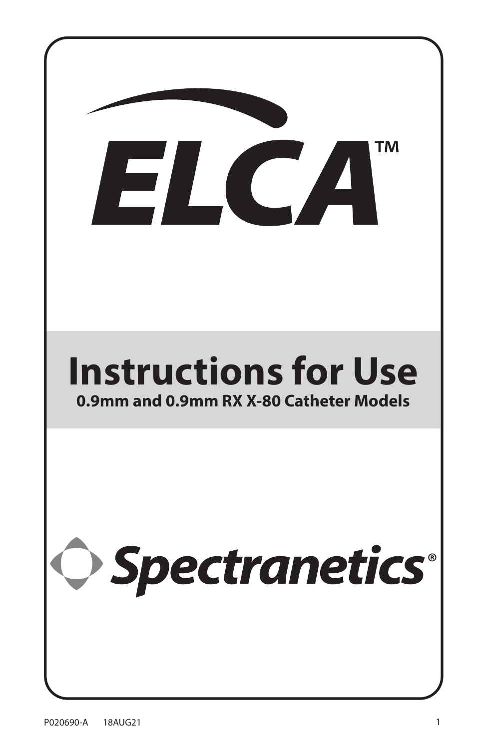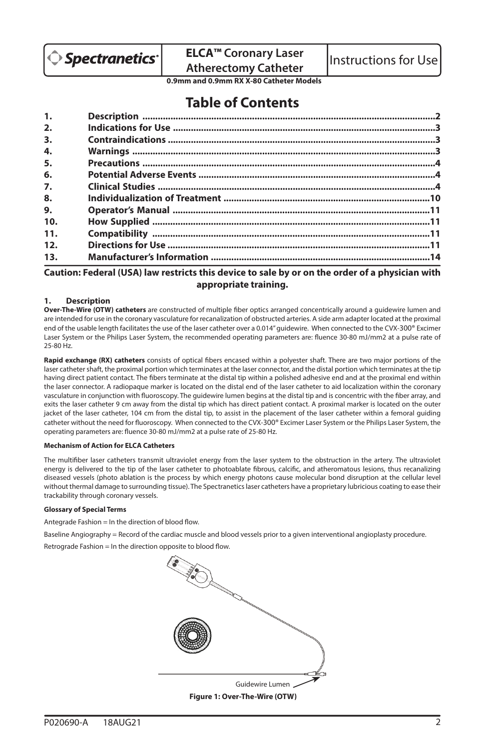

**0.9mm and 0.9mm RX X-80 Catheter Models**

# **Table of Contents**

| 1.  |  |
|-----|--|
| 2.  |  |
| 3.  |  |
| 4.  |  |
| 5.  |  |
| 6.  |  |
| 7.  |  |
| 8.  |  |
| 9.  |  |
| 10. |  |
| 11. |  |
| 12. |  |
| 13. |  |
|     |  |

### **Caution: Federal (USA) law restricts this device to sale by or on the order of a physician with appropriate training.**

### **1. Description**

**Over-The-Wire (OTW) catheters** are constructed of multiple fiber optics arranged concentrically around a guidewire lumen and are intended for use in the coronary vasculature for recanalization of obstructed arteries. A side arm adapter located at the proximal end of the usable length facilitates the use of the laser catheter over a 0.014" guidewire. When connected to the CVX-300® Excimer Laser System or the Philips Laser System, the recommended operating parameters are: fluence 30-80 mJ/mm2 at a pulse rate of 25-80 Hz.

**Rapid exchange (RX) catheters** consists of optical fibers encased within a polyester shaft. There are two major portions of the laser catheter shaft, the proximal portion which terminates at the laser connector, and the distal portion which terminates at the tip having direct patient contact. The fibers terminate at the distal tip within a polished adhesive end and at the proximal end within the laser connector. A radiopaque marker is located on the distal end of the laser catheter to aid localization within the coronary vasculature in conjunction with fluoroscopy. The guidewire lumen begins at the distal tip and is concentric with the fiber array, and exits the laser catheter 9 cm away from the distal tip which has direct patient contact. A proximal marker is located on the outer jacket of the laser catheter, 104 cm from the distal tip, to assist in the placement of the laser catheter within a femoral guiding catheter without the need for fluoroscopy. When connected to the CVX-300® Excimer Laser System or the Philips Laser System, the operating parameters are: fluence 30-80 mJ/mm2 at a pulse rate of 25-80 Hz.

### **Mechanism of Action for ELCA Catheters**

The multifiber laser catheters transmit ultraviolet energy from the laser system to the obstruction in the artery. The ultraviolet energy is delivered to the tip of the laser catheter to photoablate fibrous, calcific, and atheromatous lesions, thus recanalizing diseased vessels (photo ablation is the process by which energy photons cause molecular bond disruption at the cellular level without thermal damage to surrounding tissue). The Spectranetics laser catheters have a proprietary lubricious coating to ease their trackability through coronary vessels.

### **Glossary of Special Terms**

Antegrade Fashion = In the direction of blood flow.

Baseline Angiography = Record of the cardiac muscle and blood vessels prior to a given interventional angioplasty procedure. Retrograde Fashion = In the direction opposite to blood flow.

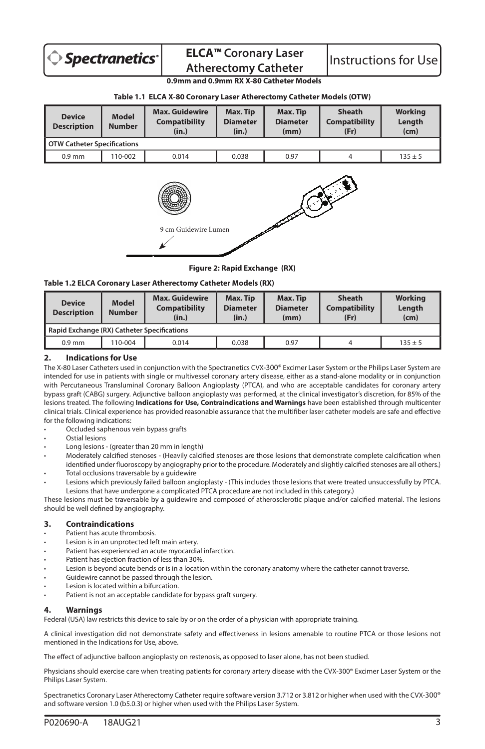

### **Table 1.1 ELCA X-80 Coronary Laser Atherectomy Catheter Models (OTW)**

| <b>Device</b><br><b>Description</b> | <b>Model</b><br><b>Number</b> | <b>Max. Guidewire</b><br><b>Compatibility</b><br>(in.) | Max. Tip<br><b>Diameter</b><br>(in.) | Max. Tip<br><b>Diameter</b><br>(mm) | <b>Sheath</b><br><b>Compatibility</b><br>(Fr) | Working<br>Length<br>(c <sub>m</sub> ) |  |
|-------------------------------------|-------------------------------|--------------------------------------------------------|--------------------------------------|-------------------------------------|-----------------------------------------------|----------------------------------------|--|
| <b>OTW Catheter Specifications</b>  |                               |                                                        |                                      |                                     |                                               |                                        |  |
| $0.9$ mm                            | 110-002                       | 0.014                                                  | 0.038                                | 0.97                                | 4                                             | $135 + 5$                              |  |



#### **Figure 2: Rapid Exchange (RX)**

### **Table 1.2 ELCA Coronary Laser Atherectomy Catheter Models (RX)**

| <b>Device</b><br><b>Description</b>         | <b>Model</b><br><b>Number</b> | <b>Max. Guidewire</b><br><b>Compatibility</b><br>(in.) | Max. Tip<br><b>Diameter</b><br>(in.) | Max. Tip<br><b>Diameter</b><br>(mm) | <b>Sheath</b><br><b>Compatibility</b><br>(Fr) | Working<br>Length<br>(c <sub>m</sub> ) |
|---------------------------------------------|-------------------------------|--------------------------------------------------------|--------------------------------------|-------------------------------------|-----------------------------------------------|----------------------------------------|
| Rapid Exchange (RX) Catheter Specifications |                               |                                                        |                                      |                                     |                                               |                                        |
| $0.9$ mm                                    | 110-004                       | 0.014                                                  | 0.038                                | 0.97                                | 4                                             | $135 + 5$                              |

### **2. Indications for Use**

The X-80 Laser Catheters used in conjunction with the Spectranetics CVX-300® Excimer Laser System or the Philips Laser System are intended for use in patients with single or multivessel coronary artery disease, either as a stand-alone modality or in conjunction with Percutaneous Transluminal Coronary Balloon Angioplasty (PTCA), and who are acceptable candidates for coronary artery bypass graft (CABG) surgery. Adjunctive balloon angioplasty was performed, at the clinical investigator's discretion, for 85% of the lesions treated. The following **Indications for Use, Contraindications and Warnings** have been established through multicenter clinical trials. Clinical experience has provided reasonable assurance that the multifiber laser catheter models are safe and effective for the following indications:

- Occluded saphenous vein bypass grafts
- Ostial lesions
- Long lesions (greater than 20 mm in length)
- Moderately calcified stenoses (Heavily calcified stenoses are those lesions that demonstrate complete calcification when identified under fluoroscopy by angiography prior to the procedure. Moderately and slightly calcified stenoses are all others.)
- Total occlusions traversable by a guidewire
- Lesions which previously failed balloon angioplasty (This includes those lesions that were treated unsuccessfully by PTCA. Lesions that have undergone a complicated PTCA procedure are not included in this category.)

These lesions must be traversable by a guidewire and composed of atherosclerotic plaque and/or calcified material. The lesions should be well defined by angiography.

#### **3. Contraindications**

- Patient has acute thrombosis.
- Lesion is in an unprotected left main artery.
- Patient has experienced an acute myocardial infarction.
- Patient has ejection fraction of less than 30%.
- Lesion is beyond acute bends or is in a location within the coronary anatomy where the catheter cannot traverse.
- Guidewire cannot be passed through the lesion.
- Lesion is located within a bifurcation.
- Patient is not an acceptable candidate for bypass graft surgery.

### **4. Warnings**

Federal (USA) law restricts this device to sale by or on the order of a physician with appropriate training.

A clinical investigation did not demonstrate safety and effectiveness in lesions amenable to routine PTCA or those lesions not mentioned in the Indications for Use, above.

The effect of adjunctive balloon angioplasty on restenosis, as opposed to laser alone, has not been studied.

Physicians should exercise care when treating patients for coronary artery disease with the CVX-300® Excimer Laser System or the Philips Laser System.

Spectranetics Coronary Laser Atherectomy Catheter require software version 3.712 or 3.812 or higher when used with the CVX-300® and software version 1.0 (b5.0.3) or higher when used with the Philips Laser System.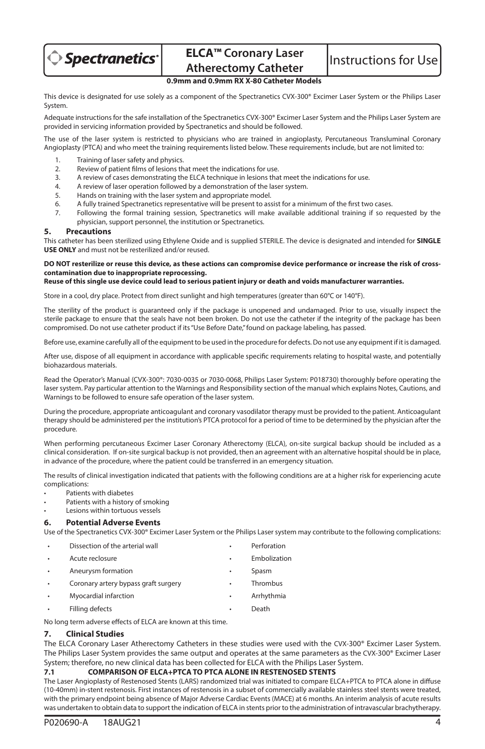

This device is designated for use solely as a component of the Spectranetics CVX-300® Excimer Laser System or the Philips Laser System.

Adequate instructions for the safe installation of the Spectranetics CVX-300® Excimer Laser System and the Philips Laser System are provided in servicing information provided by Spectranetics and should be followed.

The use of the laser system is restricted to physicians who are trained in angioplasty, Percutaneous Transluminal Coronary Angioplasty (PTCA) and who meet the training requirements listed below. These requirements include, but are not limited to:

- 1. Training of laser safety and physics.
- 2. Review of patient films of lesions that meet the indications for use.<br>A review of cases demonstrating the ELCA technique in lesions that
- A review of cases demonstrating the ELCA technique in lesions that meet the indications for use.
- 4. A review of laser operation followed by a demonstration of the laser system.
- 5. Hands on training with the laser system and appropriate model.
- 6. A fully trained Spectranetics representative will be present to assist for a minimum of the first two cases.
- 7. Following the formal training session, Spectranetics will make available additional training if so requested by the physician, support personnel, the institution or Spectranetics.

#### **5. Precautions**

This catheter has been sterilized using Ethylene Oxide and is supplied STERILE. The device is designated and intended for **SINGLE USE ONLY** and must not be resterilized and/or reused.

#### **DO NOT resterilize or reuse this device, as these actions can compromise device performance or increase the risk of crosscontamination due to inappropriate reprocessing.**

#### **Reuse of this single use device could lead to serious patient injury or death and voids manufacturer warranties.**

Store in a cool, dry place. Protect from direct sunlight and high temperatures (greater than 60°C or 140°F).

The sterility of the product is guaranteed only if the package is unopened and undamaged. Prior to use, visually inspect the sterile package to ensure that the seals have not been broken. Do not use the catheter if the integrity of the package has been compromised. Do not use catheter product if its "Use Before Date," found on package labeling, has passed.

Before use, examine carefully all of the equipment to be used in the procedure for defects. Do not use any equipment if it is damaged.

After use, dispose of all equipment in accordance with applicable specific requirements relating to hospital waste, and potentially biohazardous materials.

Read the Operator's Manual (CVX-300®: 7030-0035 or 7030-0068, Philips Laser System: P018730) thoroughly before operating the laser system. Pay particular attention to the Warnings and Responsibility section of the manual which explains Notes, Cautions, and Warnings to be followed to ensure safe operation of the laser system.

During the procedure, appropriate anticoagulant and coronary vasodilator therapy must be provided to the patient. Anticoagulant therapy should be administered per the institution's PTCA protocol for a period of time to be determined by the physician after the procedure.

When performing percutaneous Excimer Laser Coronary Atherectomy (ELCA), on-site surgical backup should be included as a clinical consideration. If on-site surgical backup is not provided, then an agreement with an alternative hospital should be in place, in advance of the procedure, where the patient could be transferred in an emergency situation.

The results of clinical investigation indicated that patients with the following conditions are at a higher risk for experiencing acute complications:

Patients with diabetes

- Patients with a history of smoking
- Lesions within tortuous vessels

### **6. Potential Adverse Events**

Use of the Spectranetics CVX-300® Excimer Laser System or the Philips Laser system may contribute to the following complications:

• Dissection of the arterial wall • Perforation • Acute reclosure • Embolization • Aneurysm formation • Spasm Coronary artery bypass graft surgery **•** Thrombus Myocardial infarction **•** Arrhythmia • Filling defects • Death

No long term adverse effects of ELCA are known at this time.

### **7. Clinical Studies**

The ELCA Coronary Laser Atherectomy Catheters in these studies were used with the CVX-300® Excimer Laser System. The Philips Laser System provides the same output and operates at the same parameters as the CVX-300® Excimer Laser System; therefore, no new clinical data has been collected for ELCA with the Philips Laser System.

### **7.1 COMPARISON OF ELCA+PTCA TO PTCA ALONE IN RESTENOSED STENTS**

The Laser Angioplasty of Restenosed Stents (LARS) randomized trial was initiated to compare ELCA+PTCA to PTCA alone in diffuse (10-40mm) in-stent restenosis. First instances of restenosis in a subset of commercially available stainless steel stents were treated, with the primary endpoint being absence of Major Adverse Cardiac Events (MACE) at 6 months. An interim analysis of acute results was undertaken to obtain data to support the indication of ELCA in stents prior to the administration of intravascular brachytherapy.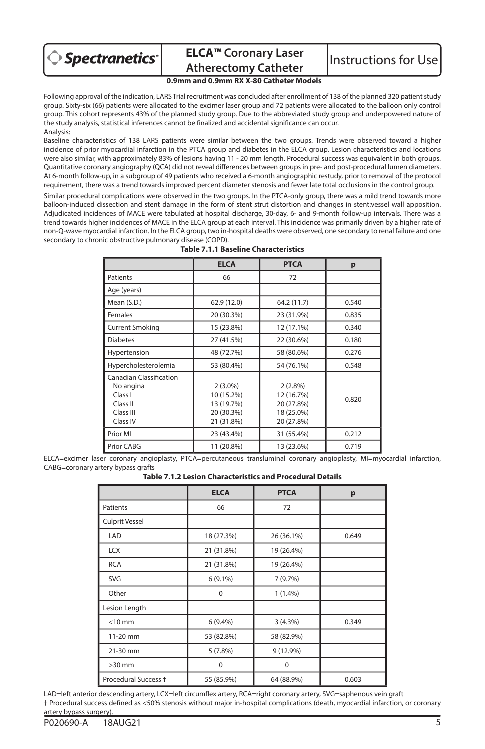> Spectranetics\*

**0.9mm and 0.9mm RX X-80 Catheter Models**

Following approval of the indication, LARS Trial recruitment was concluded after enrollment of 138 of the planned 320 patient study group. Sixty-six (66) patients were allocated to the excimer laser group and 72 patients were allocated to the balloon only control group. This cohort represents 43% of the planned study group. Due to the abbreviated study group and underpowered nature of the study analysis, statistical inferences cannot be finalized and accidental significance can occur. Analysis:

Baseline characteristics of 138 LARS patients were similar between the two groups. Trends were observed toward a higher incidence of prior myocardial infarction in the PTCA group and diabetes in the ELCA group. Lesion characteristics and locations were also similar, with approximately 83% of lesions having 11 - 20 mm length. Procedural success was equivalent in both groups. Quantitative coronary angiography (QCA) did not reveal differences between groups in pre- and post-procedural lumen diameters. At 6-month follow-up, in a subgroup of 49 patients who received a 6-month angiographic restudy, prior to removal of the protocol requirement, there was a trend towards improved percent diameter stenosis and fewer late total occlusions in the control group.

Similar procedural complications were observed in the two groups. In the PTCA-only group, there was a mild trend towards more balloon-induced dissection and stent damage in the form of stent strut distortion and changes in stent:vessel wall apposition. Adjudicated incidences of MACE were tabulated at hospital discharge, 30-day, 6- and 9-month follow-up intervals. There was a trend towards higher incidences of MACE in the ELCA group at each interval. This incidence was primarily driven by a higher rate of non-Q-wave myocardial infarction. In the ELCA group, two in-hospital deaths were observed, one secondary to renal failure and one secondary to chronic obstructive pulmonary disease (COPD).

|                                                                                                 | <b>ELCA</b>                                                        | <b>PTCA</b>                                                        | p     |
|-------------------------------------------------------------------------------------------------|--------------------------------------------------------------------|--------------------------------------------------------------------|-------|
| Patients                                                                                        | 66                                                                 | 72                                                                 |       |
| Age (years)                                                                                     |                                                                    |                                                                    |       |
| Mean (S.D.)                                                                                     | 62.9 (12.0)                                                        | 64.2 (11.7)                                                        | 0.540 |
| Females                                                                                         | 20 (30.3%)                                                         | 23 (31.9%)                                                         | 0.835 |
| Current Smoking                                                                                 | 15 (23.8%)                                                         | 12 (17.1%)                                                         | 0.340 |
| <b>Diabetes</b>                                                                                 | 27 (41.5%)                                                         | 22 (30.6%)                                                         | 0.180 |
| Hypertension                                                                                    | 48 (72.7%)                                                         | 58 (80.6%)                                                         | 0.276 |
| Hypercholesterolemia                                                                            | 53 (80.4%)                                                         | 54 (76.1%)                                                         | 0.548 |
| Canadian Classification<br>No angina<br>Class <sub>1</sub><br>Class II<br>Class III<br>Class IV | $2(3.0\%)$<br>10 (15.2%)<br>13 (19.7%)<br>20 (30.3%)<br>21 (31.8%) | $2(2.8\%)$<br>12 (16.7%)<br>20 (27.8%)<br>18 (25.0%)<br>20 (27.8%) | 0.820 |
| Prior MI                                                                                        | 23 (43.4%)                                                         | 31 (55.4%)                                                         | 0.212 |
| Prior CABG                                                                                      | 11 (20.8%)                                                         | 13 (23.6%)                                                         | 0.719 |

### **Table 7.1.1 Baseline Characteristics**

ELCA=excimer laser coronary angioplasty, PTCA=percutaneous transluminal coronary angioplasty, MI=myocardial infarction, CABG=coronary artery bypass grafts

|  | Table 7.1.2 Lesion Characteristics and Procedural Details |  |  |
|--|-----------------------------------------------------------|--|--|
|--|-----------------------------------------------------------|--|--|

|                       | <b>ELCA</b> | <b>PTCA</b> | p     |
|-----------------------|-------------|-------------|-------|
| Patients              | 66          | 72          |       |
| <b>Culprit Vessel</b> |             |             |       |
| LAD                   | 18 (27.3%)  | 26 (36.1%)  | 0.649 |
| <b>LCX</b>            | 21 (31.8%)  | 19 (26.4%)  |       |
| <b>RCA</b>            | 21 (31.8%)  | 19 (26.4%)  |       |
| <b>SVG</b>            | $6(9.1\%)$  | 7 (9.7%)    |       |
| Other                 | $\Omega$    | $1(1.4\%)$  |       |
| Lesion Length         |             |             |       |
| $<$ 10 mm             | 6(9.4%)     | $3(4.3\%)$  | 0.349 |
| 11-20 mm              | 53 (82.8%)  | 58 (82.9%)  |       |
| 21-30 mm              | 5(7.8%)     | 9 (12.9%)   |       |
| $>30$ mm              | $\mathbf 0$ | $\mathbf 0$ |       |
| Procedural Success +  | 55 (85.9%)  | 64 (88.9%)  | 0.603 |

LAD=left anterior descending artery, LCX=left circumflex artery, RCA=right coronary artery, SVG=saphenous vein graft † Procedural success defined as <50% stenosis without major in-hospital complications (death, myocardial infarction, or coronary artery bypass surgery).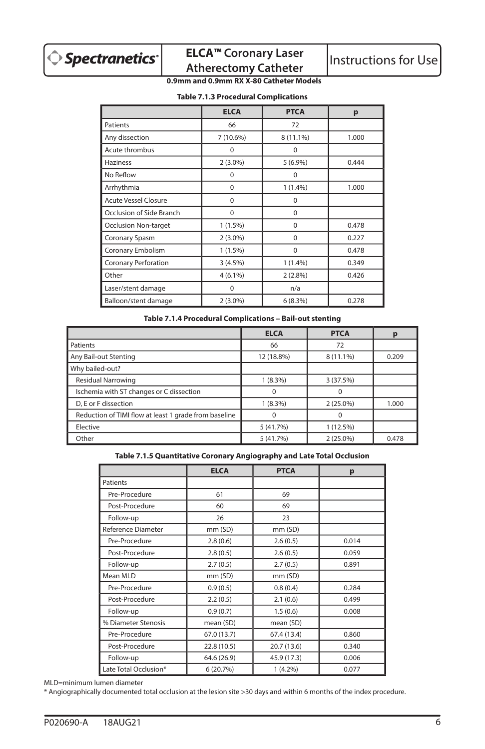

# **ELCA™ Coronary Laser ELCA<sup>™</sup> Coronary Laser** Instructions for Use<br>Atherectomy Catheter Instructions for Use

### **0.9mm and 0.9mm RX X-80 Catheter Models**

### **Table 7.1.3 Procedural Complications**

|                             | <b>ELCA</b> | <b>PTCA</b> | p     |
|-----------------------------|-------------|-------------|-------|
| Patients                    | 66          | 72          |       |
| Any dissection              | 7 (10.6%)   | 8 (11.1%)   | 1.000 |
| Acute thrombus              | $\Omega$    | $\Omega$    |       |
| <b>Haziness</b>             | $2(3.0\%)$  | $5(6.9\%)$  | 0.444 |
| No Reflow                   | $\Omega$    | $\Omega$    |       |
| Arrhythmia                  | $\Omega$    | 1(1.4%)     | 1.000 |
| <b>Acute Vessel Closure</b> | $\Omega$    | $\Omega$    |       |
| Occlusion of Side Branch    | $\Omega$    | $\Omega$    |       |
| Occlusion Non-target        | $1(1.5\%)$  | $\Omega$    | 0.478 |
| Coronary Spasm              | $2(3.0\%)$  | $\Omega$    | 0.227 |
| Coronary Embolism           | 1(1.5%)     | $\Omega$    | 0.478 |
| Coronary Perforation        | $3(4.5\%)$  | 1(1.4%)     | 0.349 |
| Other                       | $4(6.1\%)$  | $2(2.8\%)$  | 0.426 |
| Laser/stent damage          | $\Omega$    | n/a         |       |
| Balloon/stent damage        | $2(3.0\%)$  | 6(8.3%)     | 0.278 |

### **Table 7.1.4 Procedural Complications – Bail-out stenting**

|                                                       | <b>ELCA</b> | <b>PTCA</b> |       |
|-------------------------------------------------------|-------------|-------------|-------|
| Patients                                              | 66          | 72          |       |
| Any Bail-out Stenting                                 | 12 (18.8%)  | 8 (11.1%)   | 0.209 |
| Why bailed-out?                                       |             |             |       |
| <b>Residual Narrowing</b>                             | $1(8.3\%)$  | 3 (37.5%)   |       |
| Ischemia with ST changes or C dissection              | 0           |             |       |
| D, E or F dissection                                  | $1(8.3\%)$  | $2(25.0\%)$ | 1.000 |
| Reduction of TIMI flow at least 1 grade from baseline | 0           | 0           |       |
| Elective                                              | 5 (41.7%)   | 1(12.5%)    |       |
| Other                                                 | 5 (41.7%)   | $2(25.0\%)$ | 0.478 |

### **Table 7.1.5 Quantitative Coronary Angiography and Late Total Occlusion**

|                       | <b>ELCA</b> | <b>PTCA</b> | p     |
|-----------------------|-------------|-------------|-------|
| Patients              |             |             |       |
| Pre-Procedure         | 61          | 69          |       |
| Post-Procedure        | 60          | 69          |       |
| Follow-up             | 26          | 23          |       |
| Reference Diameter    | mm (SD)     | mm (SD)     |       |
| Pre-Procedure         | 2.8(0.6)    | 2.6(0.5)    | 0.014 |
| Post-Procedure        | 2.8(0.5)    | 2.6(0.5)    | 0.059 |
| Follow-up             | 2.7(0.5)    | 2.7(0.5)    | 0.891 |
| Mean MLD              | mm (SD)     | mm (SD)     |       |
| Pre-Procedure         | 0.9(0.5)    | 0.8(0.4)    | 0.284 |
| Post-Procedure        | 2.2(0.5)    | 2.1(0.6)    | 0.499 |
| Follow-up             | 0.9(0.7)    | 1.5(0.6)    | 0.008 |
| % Diameter Stenosis   | mean (SD)   | mean (SD)   |       |
| Pre-Procedure         | 67.0 (13.7) | 67.4 (13.4) | 0.860 |
| Post-Procedure        | 22.8 (10.5) | 20.7 (13.6) | 0.340 |
| Follow-up             | 64.6 (26.9) | 45.9 (17.3) | 0.006 |
| Late Total Occlusion* | 6 (20.7%)   | $1(4.2\%)$  | 0.077 |

MLD=minimum lumen diameter

\* Angiographically documented total occlusion at the lesion site >30 days and within 6 months of the index procedure.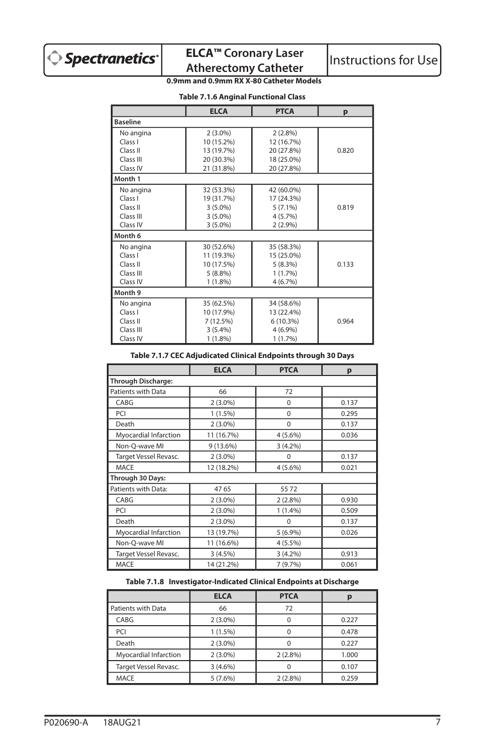

# **ELCA™ Coronary Laser ELCA<sup>™</sup> Coronary Laser** Instructions for Use<br>Atherectomy Catheter Instructions for Use

# **0.9mm and 0.9mm RX X-80 Catheter Models**

### **Table 7.1.6 Anginal Functional Class**

|                    | <b>ELCA</b> | <b>PTCA</b> |       |
|--------------------|-------------|-------------|-------|
|                    |             |             | p     |
| <b>Baseline</b>    |             |             |       |
| No angina          | $2(3.0\%)$  | $2(2.8\%)$  |       |
| Class <sub>1</sub> | 10 (15.2%)  | 12 (16.7%)  |       |
| Class II           | 13 (19.7%)  | 20 (27.8%)  | 0.820 |
| Class III          | 20 (30.3%)  | 18 (25.0%)  |       |
| Class IV           | 21 (31.8%)  | 20 (27.8%)  |       |
| Month 1            |             |             |       |
| No angina          | 32 (53.3%)  | 42 (60.0%)  |       |
| Class <sub>1</sub> | 19 (31.7%)  | 17 (24.3%)  |       |
| Class II           | $3(5.0\%)$  | $5(7.1\%)$  | 0.819 |
| Class III          | $3(5.0\%)$  | 4 (5.7%)    |       |
| Class IV           | $3(5.0\%)$  | 2(2.9%)     |       |
| Month 6            |             |             |       |
| No angina          | 30 (52.6%)  | 35 (58.3%)  |       |
| Class I            | 11 (19.3%)  | 15 (25.0%)  |       |
| Class II           | 10 (17.5%)  | $5(8.3\%)$  | 0.133 |
| Class III          | $5(8.8\%)$  | $1(1.7\%)$  |       |
| Class IV           | $1(1.8\%)$  | 4(6.7%)     |       |
| Month 9            |             |             |       |
| No angina          | 35 (62.5%)  | 34 (58.6%)  |       |
| Class I            | 10 (17.9%)  | 13 (22.4%)  |       |
| Class II           | 7 (12.5%)   | 6 (10.3%)   | 0.964 |
| Class III          | $3(5.4\%)$  | 4(6.9%)     |       |
| Class IV           | $1(1.8\%)$  | 1(1.7%)     |       |

### **Table 7.1.7 CEC Adjudicated Clinical Endpoints through 30 Days**

|                       | <b>ELCA</b> | <b>PTCA</b> | p     |  |  |  |
|-----------------------|-------------|-------------|-------|--|--|--|
| Through Discharge:    |             |             |       |  |  |  |
| Patients with Data    | 66          | 72          |       |  |  |  |
| CABG                  | $2(3.0\%)$  | $\Omega$    | 0.137 |  |  |  |
| PCI                   | $1(1.5\%)$  | $\Omega$    | 0.295 |  |  |  |
| Death                 | $2(3.0\%)$  | $\Omega$    | 0.137 |  |  |  |
| Myocardial Infarction | 11 (16.7%)  | 4 (5.6%)    | 0.036 |  |  |  |
| Non-Q-wave MI         | $9(13.6\%)$ | $3(4.2\%)$  |       |  |  |  |
| Target Vessel Revasc. | $2(3.0\%)$  | 0           | 0.137 |  |  |  |
| <b>MACE</b>           | 12 (18.2%)  | 4 (5.6%)    | 0.021 |  |  |  |
| Through 30 Days:      |             |             |       |  |  |  |
| Patients with Data:   | 4765        | 5572        |       |  |  |  |
| CABG                  | $2(3.0\%)$  | $2(2.8\%)$  | 0.930 |  |  |  |
| PCI                   | $2(3.0\%)$  | 1(1.4%)     | 0.509 |  |  |  |
| Death                 | $2(3.0\%)$  | $\Omega$    | 0.137 |  |  |  |
| Myocardial Infarction | 13 (19.7%)  | 5 (6.9%)    | 0.026 |  |  |  |
| Non-Q-wave MI         | 11 (16.6%)  | 4 (5.5%)    |       |  |  |  |
| Target Vessel Revasc. | 3(4.5%)     | 3 (4.2%)    | 0.913 |  |  |  |
| MACE                  | 14 (21.2%)  | 7 (9.7%)    | 0.061 |  |  |  |

### **Table 7.1.8 Investigator-Indicated Clinical Endpoints at Discharge**

|                       | <b>ELCA</b> | <b>PTCA</b> |       |
|-----------------------|-------------|-------------|-------|
| Patients with Data    | 66          | 72          |       |
| CABG                  | $2(3.0\%)$  |             | 0.227 |
| <b>PCI</b>            | $1(1.5\%)$  |             | 0.478 |
| Death                 | $2(3.0\%)$  |             | 0.227 |
| Myocardial Infarction | $2(3.0\%)$  | $2(2.8\%)$  | 1.000 |
| Target Vessel Revasc. | $3(4.6\%)$  |             | 0.107 |
| MACE                  | 5 (7.6%)    | $2(2.8\%)$  | 0.259 |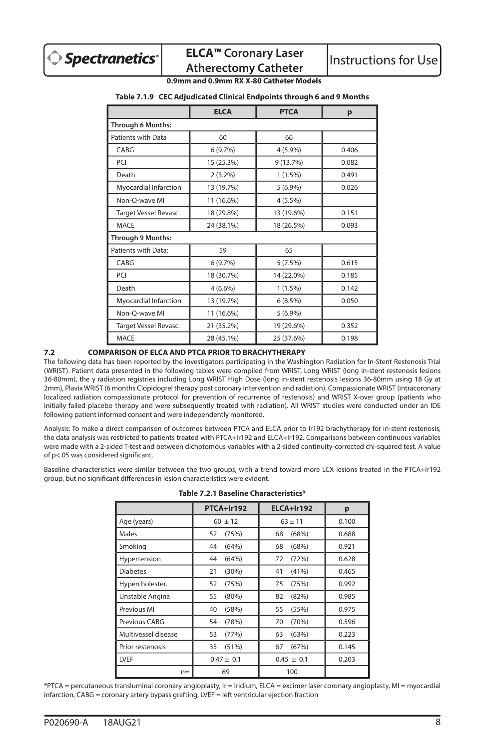

# **ELCA™ Coronary Laser ELCA<sup>T</sup> Coronary Laser** | Instructions for Use<br>Atherectomy Catheter | Instructions for Use

### **0.9mm and 0.9mm RX X-80 Catheter Models**

| Table 7.1.9 CEC Adjudicated Clinical Endpoints through 6 and 9 Months |  |  |
|-----------------------------------------------------------------------|--|--|
|-----------------------------------------------------------------------|--|--|

|                          | <b>ELCA</b> | <b>PTCA</b> | p     |
|--------------------------|-------------|-------------|-------|
| <b>Through 6 Months:</b> |             |             |       |
| Patients with Data       | 60          | 66          |       |
| CABG                     | 6(9.7%)     | 4 (5.9%)    | 0.406 |
| <b>PCI</b>               | 15 (25.3%)  | 9 (13.7%)   | 0.082 |
| Death                    | $2(3.2\%)$  | $1(1.5\%)$  | 0.491 |
| Myocardial Infarction    | 13 (19.7%)  | 5(6.9%)     | 0.026 |
| Non-Q-wave MI            | 11 (16.6%)  | $4(5.5\%)$  |       |
| Target Vessel Revasc.    | 18 (29.8%)  | 13 (19.6%)  | 0.151 |
| MACE                     | 24 (38.1%)  | 18 (26.5%)  | 0.093 |
| Through 9 Months:        |             |             |       |
| Patients with Data:      | 59          | 65          |       |
| CABG                     | 6(9.7%)     | 5(7.5%)     | 0.615 |
| PCI                      | 18 (30.7%)  | 14 (22.0%)  | 0.185 |
| Death                    | 4(6.6%)     | $1(1.5\%)$  | 0.142 |
| Myocardial Infarction    | 13 (19.7%)  | 6(8.5%)     | 0.050 |
| Non-O-wave MI            | 11 (16.6%)  | $5(6.9\%)$  |       |
| Target Vessel Revasc.    | 21 (35.2%)  | 19 (29.6%)  | 0.352 |
| MACE                     | 28 (45.1%)  | 25 (37.6%)  | 0.198 |

### **7.2 COMPARISON OF ELCA AND PTCA PRIOR TO BRACHYTHERAPY**

The following data has been reported by the investigators participating in the Washington Radiation for In-Stent Restenosis Trial (WRIST). Patient data presented in the following tables were compiled from WRIST, Long WRIST (long in-stent restenosis lesions 36-80mm), the γ radiation registries including Long WRIST High Dose (long in-stent restenosis lesions 36-80mm using 18 Gy at 2mm), Plavix WRIST (6 months Clopidogrel therapy post coronary intervention and radiation), Compassionate WRIST (intracoronary localized radiation compassionate protocol for prevention of recurrence of restenosis) and WRIST X-over group (patients who initially failed placebo therapy and were subsequently treated with radiation). All WRIST studies were conducted under an IDE following patient informed consent and were independently monitored.

Analysis: To make a direct comparison of outcomes between PTCA and ELCA prior to Ir192 brachytherapy for in-stent restenosis, the data analysis was restricted to patients treated with PTCA+Ir192 and ELCA+Ir192. Comparisons between continuous variables were made with a 2-sided T-test and between dichotomous variables with a 2-sided continuity-corrected chi-squared test. A value of p<.05 was considered significant.

Baseline characteristics were similar between the two groups, with a trend toward more LCX lesions treated in the PTCA+Ir192 group, but no significant differences in lesion characteristics were evident.

|                     | PTCA+Ir192     | ELCA+Ir192     | p     |
|---------------------|----------------|----------------|-------|
| Age (years)         | $60 \pm 12$    | $63 \pm 11$    | 0.100 |
| Males               | 52<br>(75%)    | (68%)<br>68    | 0.688 |
| Smoking             | (64%)<br>44    | 68<br>(68%)    | 0.921 |
| Hypertension        | 44<br>(64%)    | 72<br>(72%)    | 0.628 |
| <b>Diabetes</b>     | 21<br>(30%)    | 41<br>(41%)    | 0.465 |
| Hypercholester.     | 52<br>(75%)    | 75<br>(75%)    | 0.992 |
| Unstable Angina     | 55<br>(80%)    | 82<br>(82%)    | 0.985 |
| Previous MI         | (58%)<br>40    | 55<br>(55%)    | 0.975 |
| Previous CABG       | 54<br>(78%)    | 70<br>(70%)    | 0.596 |
| Multivessel disease | 53<br>(77%)    | 63<br>(63%)    | 0.223 |
| Prior restenosis    | 35<br>(51%)    | 67<br>(67%)    | 0.145 |
| LVEF                | $0.47 \pm 0.1$ | $0.45 \pm 0.1$ | 0.203 |
| $n =$               | 69             | 100            |       |

#### **Table 7.2.1 Baseline Characteristics\***

\*PTCA = percutaneous transluminal coronary angioplasty, Ir = Iridium, ELCA = excimer laser coronary angioplasty, MI = myocardial infarction, CABG = coronary artery bypass grafting, LVEF = left ventricular ejection fraction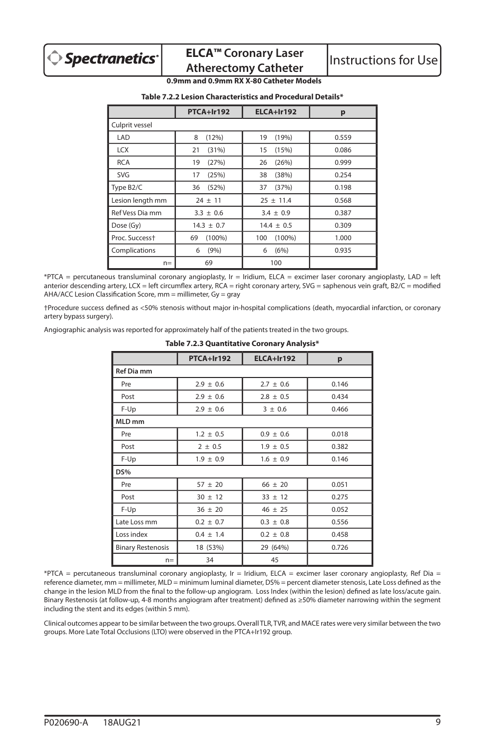

# **ELCA™ Coronary Laser ELCA<sup>T</sup> Coronary Laser** | Instructions for Use<br>Atherectomy Catheter | Instructions for Use

### **0.9mm and 0.9mm RX X-80 Catheter Models**

### **Table 7.2.2 Lesion Characteristics and Procedural Details\***

|                            | PTCA+Ir192      | ELCA+Ir192       | p     |
|----------------------------|-----------------|------------------|-------|
| Culprit vessel             |                 |                  |       |
| LAD                        | 8<br>(12%)      | 19<br>(19%)      | 0.559 |
| <b>LCX</b>                 | (31%)<br>21     | (15%)<br>15      | 0.086 |
| <b>RCA</b>                 | 19<br>(27%)     | (26%)<br>26      | 0.999 |
| <b>SVG</b>                 | (25%)<br>17     | (38%)<br>38      | 0.254 |
| Type B <sub>2</sub> /C     | (52%)<br>36     | (37%)<br>37      | 0.198 |
| Lesion length mm           | $24 \pm 11$     | $25 \pm 11.4$    | 0.568 |
| Ref Vess Dia mm            | $3.3 + 0.6$     | $3.4 + 0.9$      | 0.387 |
| Dose (Gy)                  | $14.3 \pm 0.7$  | $14.4 \pm 0.5$   | 0.309 |
| Proc. Success <sup>+</sup> | 69<br>$(100\%)$ | $(100\%)$<br>100 | 1.000 |
| Complications              | (9% )<br>6      | (6%)<br>6        | 0.935 |
| $n =$                      | 69              | 100              |       |

\*PTCA = percutaneous transluminal coronary angioplasty, Ir = Iridium, ELCA = excimer laser coronary angioplasty, LAD = left anterior descending artery, LCX = left circumflex artery, RCA = right coronary artery, SVG = saphenous vein graft, B2/C = modified AHA/ACC Lesion Classification Score, mm = millimeter, Gy = gray

†Procedure success defined as <50% stenosis without major in-hospital complications (death, myocardial infarction, or coronary artery bypass surgery).

Angiographic analysis was reported for approximately half of the patients treated in the two groups.

|                          | PTCA+Ir192    | ELCA+Ir192    | p     |
|--------------------------|---------------|---------------|-------|
| <b>Ref Dia mm</b>        |               |               |       |
| Pre                      | $2.9 + 0.6$   | $2.7 + 0.6$   | 0.146 |
| Post                     | $2.9 \pm 0.6$ | $2.8 \pm 0.5$ | 0.434 |
| F-Up                     | $2.9 \pm 0.6$ | $3 \pm 0.6$   | 0.466 |
| MLD mm                   |               |               |       |
| Pre                      | $1.2 \pm 0.5$ | $0.9 \pm 0.6$ | 0.018 |
| Post                     | $2 \pm 0.5$   | $1.9 \pm 0.5$ | 0.382 |
| F-Up                     | $1.9 \pm 0.9$ | $1.6 \pm 0.9$ | 0.146 |
| DS%                      |               |               |       |
| Pre                      | $57 \pm 20$   | $66 \pm 20$   | 0.051 |
| Post                     | $30 \pm 12$   | $33 \pm 12$   | 0.275 |
| F-Up                     | $36 \pm 20$   | $46 \pm 25$   | 0.052 |
| Late Loss mm             | $0.2 \pm 0.7$ | $0.3 \pm 0.8$ | 0.556 |
| Loss index               | $0.4 \pm 1.4$ | $0.2 \pm 0.8$ | 0.458 |
| <b>Binary Restenosis</b> | 18 (53%)      | 29 (64%)      | 0.726 |
| $n =$                    | 34            | 45            |       |

\*PTCA = percutaneous transluminal coronary angioplasty, Ir = Iridium, ELCA = excimer laser coronary angioplasty, Ref Dia = reference diameter, mm = millimeter, MLD = minimum luminal diameter, DS% = percent diameter stenosis, Late Loss defined as the change in the lesion MLD from the final to the follow-up angiogram. Loss Index (within the lesion) defined as late loss/acute gain. Binary Restenosis (at follow-up, 4-8 months angiogram after treatment) defined as ≥50% diameter narrowing within the segment including the stent and its edges (within 5 mm).

Clinical outcomes appear to be similar between the two groups. Overall TLR, TVR, and MACE rates were very similar between the two groups. More Late Total Occlusions (LTO) were observed in the PTCA+Ir192 group.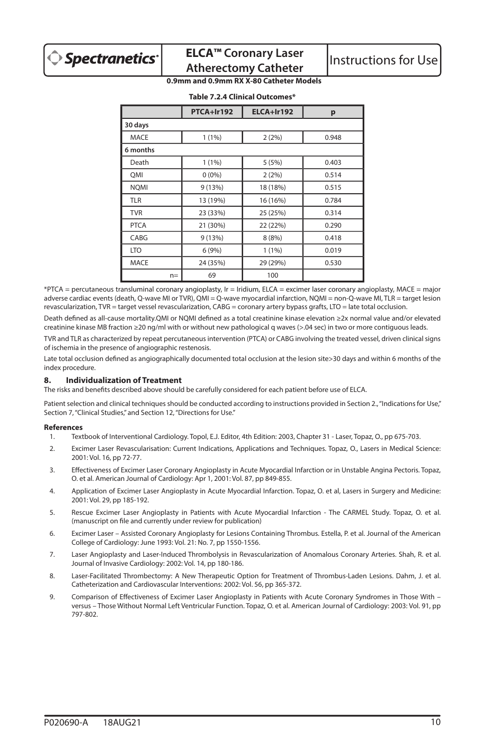

### **0.9mm and 0.9mm RX X-80 Catheter Models**

|             |       | PTCA+Ir192 | ELCA+Ir192 | p     |
|-------------|-------|------------|------------|-------|
| 30 days     |       |            |            |       |
| <b>MACE</b> |       | 1(1%)      | 2(2%)      | 0.948 |
| 6 months    |       |            |            |       |
| Death       |       | 1(1%)      | 5(5%)      | 0.403 |
| OMI         |       | $0(0\%)$   | 2(2%)      | 0.514 |
| <b>NQMI</b> |       | 9 (13%)    | 18 (18%)   | 0.515 |
| <b>TLR</b>  |       | 13 (19%)   | 16 (16%)   | 0.784 |
| <b>TVR</b>  |       | 23 (33%)   | 25 (25%)   | 0.314 |
| <b>PTCA</b> |       | 21 (30%)   | 22 (22%)   | 0.290 |
| CABG        |       | 9 (13%)    | 8 (8%)     | 0.418 |
| <b>LTO</b>  |       | 6 (9%)     | $1(1\%)$   | 0.019 |
| <b>MACE</b> |       | 24 (35%)   | 29 (29%)   | 0.530 |
|             | $n =$ | 69         | 100        |       |

#### **Table 7.2.4 Clinical Outcomes\***

\*PTCA = percutaneous transluminal coronary angioplasty, Ir = Iridium, ELCA = excimer laser coronary angioplasty, MACE = major adverse cardiac events (death, Q-wave MI or TVR), QMI = Q-wave myocardial infarction, NQMI = non-Q-wave MI, TLR = target lesion revascularization, TVR = target vessel revascularization, CABG = coronary artery bypass grafts, LTO = late total occlusion.

Death defined as all-cause mortality.QMI or NQMI defined as a total creatinine kinase elevation ≥2x normal value and/or elevated creatinine kinase MB fraction ≥20 ng/ml with or without new pathological q waves (>.04 sec) in two or more contiguous leads.

TVR and TLR as characterized by repeat percutaneous intervention (PTCA) or CABG involving the treated vessel, driven clinical signs of ischemia in the presence of angiographic restenosis.

Late total occlusion defined as angiographically documented total occlusion at the lesion site>30 days and within 6 months of the index procedure.

### **8. Individualization of Treatment**

The risks and benefits described above should be carefully considered for each patient before use of ELCA.

Patient selection and clinical techniques should be conducted according to instructions provided in Section 2., "Indications for Use," Section 7, "Clinical Studies," and Section 12, "Directions for Use."

#### **References**

- 1. Textbook of Interventional Cardiology. Topol, E.J. Editor, 4th Edition: 2003, Chapter 31 Laser, Topaz, O., pp 675-703.
- 2. Excimer Laser Revascularisation: Current Indications, Applications and Techniques. Topaz, O., Lasers in Medical Science: 2001: Vol. 16, pp 72-77.
- 3. Effectiveness of Excimer Laser Coronary Angioplasty in Acute Myocardial Infarction or in Unstable Angina Pectoris. Topaz, O. et al. American Journal of Cardiology: Apr 1, 2001: Vol. 87, pp 849-855.
- 4. Application of Excimer Laser Angioplasty in Acute Myocardial Infarction. Topaz, O. et al, Lasers in Surgery and Medicine: 2001: Vol. 29, pp 185-192.
- 5. Rescue Excimer Laser Angioplasty in Patients with Acute Myocardial Infarction The CARMEL Study. Topaz, O. et al. (manuscript on file and currently under review for publication)
- 6. Excimer Laser Assisted Coronary Angioplasty for Lesions Containing Thrombus. Estella, P. et al. Journal of the American College of Cardiology: June 1993: Vol. 21: No. 7, pp 1550-1556.
- 7. Laser Angioplasty and Laser-Induced Thrombolysis in Revascularization of Anomalous Coronary Arteries. Shah, R. et al. Journal of Invasive Cardiology: 2002: Vol. 14, pp 180-186.
- 8. Laser-Facilitated Thrombectomy: A New Therapeutic Option for Treatment of Thrombus-Laden Lesions. Dahm, J. et al. Catheterization and Cardiovascular Interventions: 2002: Vol. 56, pp 365-372.
- 9. Comparison of Effectiveness of Excimer Laser Angioplasty in Patients with Acute Coronary Syndromes in Those With versus – Those Without Normal Left Ventricular Function. Topaz, O. et al. American Journal of Cardiology: 2003: Vol. 91, pp 797-802.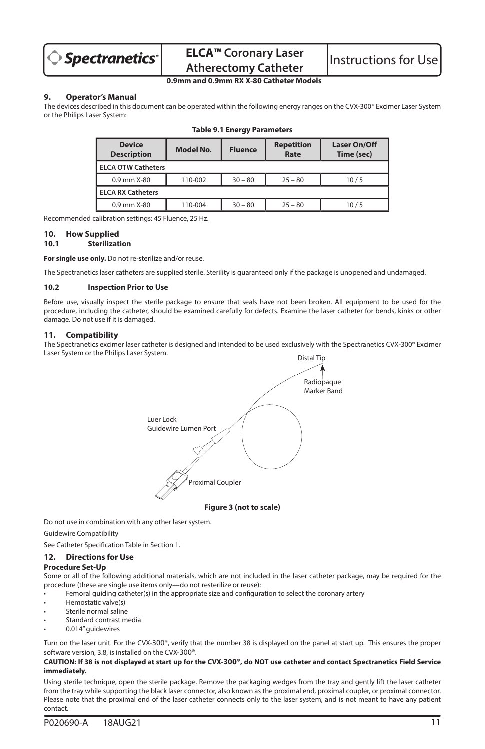

**0.9mm and 0.9mm RX X-80 Catheter Models**

### **9. Operator's Manual**

The devices described in this document can be operated within the following energy ranges on the CVX-300® Excimer Laser System or the Philips Laser System:

| <b>Device</b><br><b>Description</b> | Model No. | <b>Fluence</b> | <b>Repetition</b><br>Rate | <b>Laser On/Off</b><br>Time (sec) |
|-------------------------------------|-----------|----------------|---------------------------|-----------------------------------|
| <b>ELCA OTW Catheters</b>           |           |                |                           |                                   |
| $0.9$ mm $X-80$                     | 110-002   | $30 - 80$      | $25 - 80$                 | 10/5                              |
| <b>ELCA RX Catheters</b>            |           |                |                           |                                   |
| $0.9$ mm $X-80$                     | 110-004   | $30 - 80$      | $25 - 80$                 | 10/5                              |

### **Table 9.1 Energy Parameters**

Recommended calibration settings: 45 Fluence, 25 Hz.

### **10. How Supplied**

### **10.1 Sterilization**

**For single use only.** Do not re-sterilize and/or reuse.

The Spectranetics laser catheters are supplied sterile. Sterility is guaranteed only if the package is unopened and undamaged.

### **10.2 Inspection Prior to Use**

Before use, visually inspect the sterile package to ensure that seals have not been broken. All equipment to be used for the procedure, including the catheter, should be examined carefully for defects. Examine the laser catheter for bends, kinks or other damage. Do not use if it is damaged.

### **11. Compatibility**

The Spectranetics excimer laser catheter is designed and intended to be used exclusively with the Spectranetics CVX-300® Excimer Laser System or the Philips Laser System. Distal Tip



### **Figure 3 (not to scale)**

Do not use in combination with any other laser system.

Guidewire Compatibility

See Catheter Specification Table in Section 1.

### **12. Directions for Use**

### **Procedure Set-Up**

Some or all of the following additional materials, which are not included in the laser catheter package, may be required for the procedure (these are single use items only—do not resterilize or reuse):

• Femoral guiding catheter(s) in the appropriate size and configuration to select the coronary artery

- Hemostatic valve(s)
- Sterile normal saline
- Standard contrast media
- 0.014" quidewires

Turn on the laser unit. For the CVX-300®, verify that the number 38 is displayed on the panel at start up. This ensures the proper software version, 3.8, is installed on the CVX-300®.

#### **CAUTION: If 38 is not displayed at start up for the CVX-300®, do NOT use catheter and contact Spectranetics Field Service immediately.**

Using sterile technique, open the sterile package. Remove the packaging wedges from the tray and gently lift the laser catheter from the tray while supporting the black laser connector, also known as the proximal end, proximal coupler, or proximal connector. Please note that the proximal end of the laser catheter connects only to the laser system, and is not meant to have any patient contact.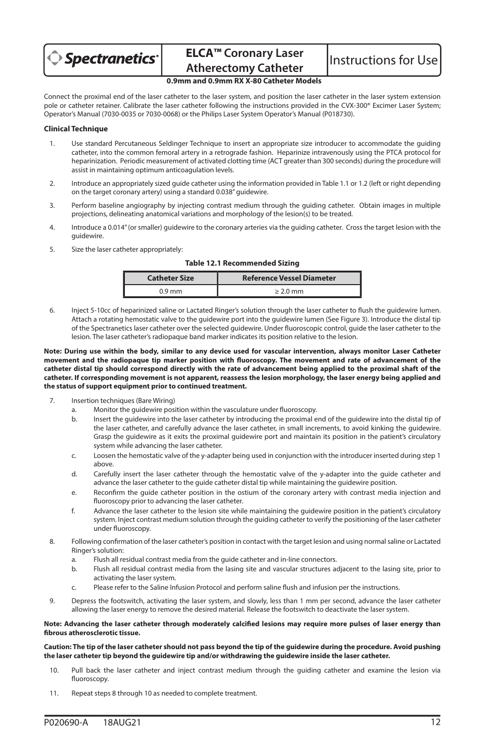

# **ELCA™ Coronary Laser ELCA<sup>T</sup> Coronary Laser** |<br>Atherectomy Catheter | Instructions for Use

### **0.9mm and 0.9mm RX X-80 Catheter Models**

Connect the proximal end of the laser catheter to the laser system, and position the laser catheter in the laser system extension pole or catheter retainer. Calibrate the laser catheter following the instructions provided in the CVX-300® Excimer Laser System; Operator's Manual (7030-0035 or 7030-0068) or the Philips Laser System Operator's Manual (P018730).

### **Clinical Technique**

- 1. Use standard Percutaneous Seldinger Technique to insert an appropriate size introducer to accommodate the guiding catheter, into the common femoral artery in a retrograde fashion. Heparinize intravenously using the PTCA protocol for heparinization. Periodic measurement of activated clotting time (ACT greater than 300 seconds) during the procedure will assist in maintaining optimum anticoagulation levels.
- 2. Introduce an appropriately sized guide catheter using the information provided in Table 1.1 or 1.2 (left or right depending on the target coronary artery) using a standard 0.038" guidewire.
- 3. Perform baseline angiography by injecting contrast medium through the guiding catheter. Obtain images in multiple projections, delineating anatomical variations and morphology of the lesion(s) to be treated.
- 4. Introduce a 0.014" (or smaller) guidewire to the coronary arteries via the guiding catheter. Cross the target lesion with the guidewire.
- 5. Size the laser catheter appropriately:

|  | <b>Table 12.1 Recommended Sizing</b> |  |
|--|--------------------------------------|--|
|--|--------------------------------------|--|

| <b>Catheter Size</b> | <b>Reference Vessel Diameter</b> |
|----------------------|----------------------------------|
| $0.9$ mm             | $> 20$ mm                        |

6. Inject 5-10cc of heparinized saline or Lactated Ringer's solution through the laser catheter to flush the guidewire lumen. Attach a rotating hemostatic valve to the guidewire port into the guidewire lumen (See Figure 3). Introduce the distal tip of the Spectranetics laser catheter over the selected guidewire. Under fluoroscopic control, guide the laser catheter to the lesion. The laser catheter's radiopaque band marker indicates its position relative to the lesion.

#### **Note: During use within the body, similar to any device used for vascular intervention, always monitor Laser Catheter movement and the radiopaque tip marker position with fluoroscopy. The movement and rate of advancement of the catheter distal tip should correspond directly with the rate of advancement being applied to the proximal shaft of the catheter. If corresponding movement is not apparent, reassess the lesion morphology, the laser energy being applied and the status of support equipment prior to continued treatment.**

- 7. Insertion techniques (Bare Wiring)
	- a. Monitor the guidewire position within the vasculature under fluoroscopy.
	- b. Insert the guidewire into the laser catheter by introducing the proximal end of the guidewire into the distal tip of the laser catheter, and carefully advance the laser catheter, in small increments, to avoid kinking the guidewire. Grasp the guidewire as it exits the proximal guidewire port and maintain its position in the patient's circulatory system while advancing the laser catheter.
	- c. Loosen the hemostatic valve of the y-adapter being used in conjunction with the introducer inserted during step 1 above.
	- d. Carefully insert the laser catheter through the hemostatic valve of the y-adapter into the guide catheter and advance the laser catheter to the guide catheter distal tip while maintaining the guidewire position.
	- e. Reconfirm the guide catheter position in the ostium of the coronary artery with contrast media injection and fluoroscopy prior to advancing the laser catheter.
	- f. Advance the laser catheter to the lesion site while maintaining the guidewire position in the patient's circulatory system. Inject contrast medium solution through the guiding catheter to verify the positioning of the laser catheter under fluoroscopy.
- 8. Following confirmation of the laser catheter's position in contact with the target lesion and using normal saline or Lactated Ringer's solution:
	- a. Flush all residual contrast media from the guide catheter and in-line connectors.
	- b. Flush all residual contrast media from the lasing site and vascular structures adjacent to the lasing site, prior to activating the laser system.
	- c. Please refer to the Saline Infusion Protocol and perform saline flush and infusion per the instructions.
- 9. Depress the footswitch, activating the laser system, and slowly, less than 1 mm per second, advance the laser catheter allowing the laser energy to remove the desired material. Release the footswitch to deactivate the laser system.

#### **Note: Advancing the laser catheter through moderately calcified lesions may require more pulses of laser energy than fibrous atherosclerotic tissue.**

#### **Caution: The tip of the laser catheter should not pass beyond the tip of the guidewire during the procedure. Avoid pushing the laser catheter tip beyond the guidewire tip and/or withdrawing the guidewire inside the laser catheter.**

- 10. Pull back the laser catheter and inject contrast medium through the guiding catheter and examine the lesion via fluoroscopy.
- 11. Repeat steps 8 through 10 as needed to complete treatment.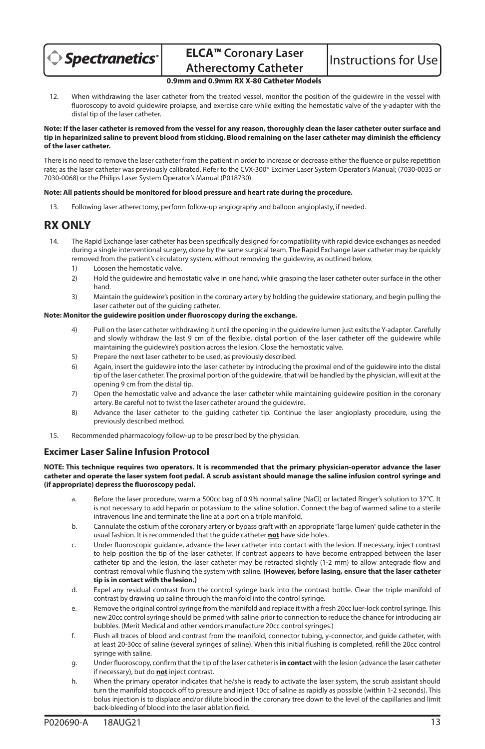

12. When withdrawing the laser catheter from the treated vessel, monitor the position of the guidewire in the vessel with fluoroscopy to avoid guidewire prolapse, and exercise care while exiting the hemostatic valve of the y-adapter with the distal tip of the laser catheter.

#### **Note: If the laser catheter is removed from the vessel for any reason, thoroughly clean the laser catheter outer surface and tip in heparinized saline to prevent blood from sticking. Blood remaining on the laser catheter may diminish the efficiency of the laser catheter.**

There is no need to remove the laser catheter from the patient in order to increase or decrease either the fluence or pulse repetition rate; as the laser catheter was previously calibrated. Refer to the CVX-300® Excimer Laser System Operator's Manual; (7030-0035 or 7030-0068) or the Philips Laser System Operator's Manual (P018730).

#### **Note: All patients should be monitored for blood pressure and heart rate during the procedure.**

13. Following laser atherectomy, perform follow-up angiography and balloon angioplasty, if needed.

# **RX ONLY**

- 14. The Rapid Exchange laser catheter has been specifically designed for compatibility with rapid device exchanges as needed during a single interventional surgery, done by the same surgical team. The Rapid Exchange laser catheter may be quickly removed from the patient's circulatory system, without removing the guidewire, as outlined below.
	- 1) Loosen the hemostatic valve.
	- 2) Hold the guidewire and hemostatic valve in one hand, while grasping the laser catheter outer surface in the other hand.
	- 3) Maintain the guidewire's position in the coronary artery by holding the guidewire stationary, and begin pulling the laser catheter out of the guiding catheter.

### **Note: Monitor the guidewire position under fluoroscopy during the exchange.**

- 4) Pull on the laser catheter withdrawing it until the opening in the guidewire lumen just exits the Y-adapter. Carefully and slowly withdraw the last 9 cm of the flexible, distal portion of the laser catheter off the guidewire while maintaining the guidewire's position across the lesion. Close the hemostatic valve.
- 5) Prepare the next laser catheter to be used, as previously described.
- 6) Again, insert the guidewire into the laser catheter by introducing the proximal end of the guidewire into the distal tip of the laser catheter. The proximal portion of the guidewire, that will be handled by the physician, will exit at the opening 9 cm from the distal tip.
- 7) Open the hemostatic valve and advance the laser catheter while maintaining guidewire position in the coronary artery. Be careful not to twist the laser catheter around the guidewire.
- 8) Advance the laser catheter to the guiding catheter tip. Continue the laser angioplasty procedure, using the previously described method.
- 15. Recommended pharmacology follow-up to be prescribed by the physician.

### **Excimer Laser Saline Infusion Protocol**

**NOTE: This technique requires two operators. It is recommended that the primary physician-operator advance the laser catheter and operate the laser system foot pedal. A scrub assistant should manage the saline infusion control syringe and (if appropriate) depress the fluoroscopy pedal.** 

- a. Before the laser procedure, warm a 500cc bag of 0.9% normal saline (NaCl) or lactated Ringer's solution to 37°C. It is not necessary to add heparin or potassium to the saline solution. Connect the bag of warmed saline to a sterile intravenous line and terminate the line at a port on a triple manifold.
- b. Cannulate the ostium of the coronary artery or bypass graft with an appropriate "large lumen" guide catheter in the usual fashion. It is recommended that the guide catheter **not** have side holes.
- c. Under fluoroscopic guidance, advance the laser catheter into contact with the lesion. If necessary, inject contrast to help position the tip of the laser catheter. If contrast appears to have become entrapped between the laser catheter tip and the lesion, the laser catheter may be retracted slightly (1-2 mm) to allow antegrade flow and contrast removal while flushing the system with saline. **(However, before lasing, ensure that the laser catheter tip is in contact with the lesion.)**
- d. Expel any residual contrast from the control syringe back into the contrast bottle. Clear the triple manifold of contrast by drawing up saline through the manifold into the control syringe.
- e. Remove the original control syringe from the manifold and replace it with a fresh 20cc luer-lock control syringe. This new 20cc control syringe should be primed with saline prior to connection to reduce the chance for introducing air bubbles. (Merit Medical and other vendors manufacture 20cc control syringes.)
- f. Flush all traces of blood and contrast from the manifold, connector tubing, y-connector, and guide catheter, with at least 20-30cc of saline (several syringes of saline). When this initial flushing is completed, refill the 20cc control syringe with saline.
- g. Under fluoroscopy, confirm that the tip of the laser catheter is **in contact** with the lesion (advance the laser catheter if necessary), but do **not** inject contrast.
- h. When the primary operator indicates that he/she is ready to activate the laser system, the scrub assistant should turn the manifold stopcock off to pressure and inject 10cc of saline as rapidly as possible (within 1-2 seconds). This bolus injection is to displace and/or dilute blood in the coronary tree down to the level of the capillaries and limit back-bleeding of blood into the laser ablation field.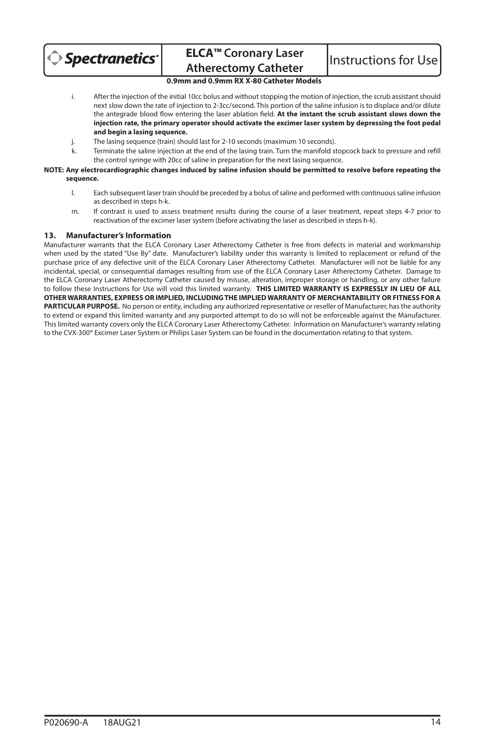

- i. After the injection of the initial 10cc bolus and without stopping the motion of injection, the scrub assistant should next slow down the rate of injection to 2-3cc/second. This portion of the saline infusion is to displace and/or dilute the antegrade blood flow entering the laser ablation field. **At the instant the scrub assistant slows down the injection rate, the primary operator should activate the excimer laser system by depressing the foot pedal and begin a lasing sequence.**
- The lasing sequence (train) should last for 2-10 seconds (maximum 10 seconds).
- k. Terminate the saline injection at the end of the lasing train. Turn the manifold stopcock back to pressure and refill the control syringe with 20cc of saline in preparation for the next lasing sequence.

### **NOTE: Any electrocardiographic changes induced by saline infusion should be permitted to resolve before repeating the sequence.**

- l. Each subsequent laser train should be preceded by a bolus of saline and performed with continuous saline infusion as described in steps h-k.
- m. If contrast is used to assess treatment results during the course of a laser treatment, repeat steps 4-7 prior to reactivation of the excimer laser system (before activating the laser as described in steps h-k).

### **13. Manufacturer's Information**

Manufacturer warrants that the ELCA Coronary Laser Atherectomy Catheter is free from defects in material and workmanship when used by the stated "Use By" date. Manufacturer's liability under this warranty is limited to replacement or refund of the purchase price of any defective unit of the ELCA Coronary Laser Atherectomy Catheter. Manufacturer will not be liable for any incidental, special, or consequential damages resulting from use of the ELCA Coronary Laser Atherectomy Catheter. Damage to the ELCA Coronary Laser Atherectomy Catheter caused by misuse, alteration, improper storage or handling, or any other failure to follow these Instructions for Use will void this limited warranty. **THIS LIMITED WARRANTY IS EXPRESSLY IN LIEU OF ALL OTHER WARRANTIES, EXPRESS OR IMPLIED, INCLUDING THE IMPLIED WARRANTY OF MERCHANTABILITY OR FITNESS FOR A PARTICULAR PURPOSE.** No person or entity, including any authorized representative or reseller of Manufacturer, has the authority to extend or expand this limited warranty and any purported attempt to do so will not be enforceable against the Manufacturer. This limited warranty covers only the ELCA Coronary Laser Atherectomy Catheter. Information on Manufacturer's warranty relating to the CVX-300® Excimer Laser System or Philips Laser System can be found in the documentation relating to that system.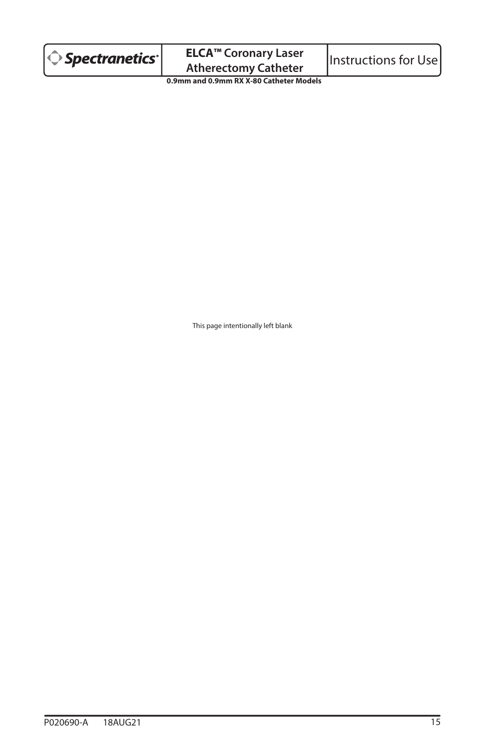| <b>ELCA™ Coronary Laser</b><br>$ \hat{\heartsuit}$ Spectranetics <sup>®</sup><br><b>Atherectomy Catheter</b> | Instructions for Use |
|--------------------------------------------------------------------------------------------------------------|----------------------|
|--------------------------------------------------------------------------------------------------------------|----------------------|

This page intentionally left blank